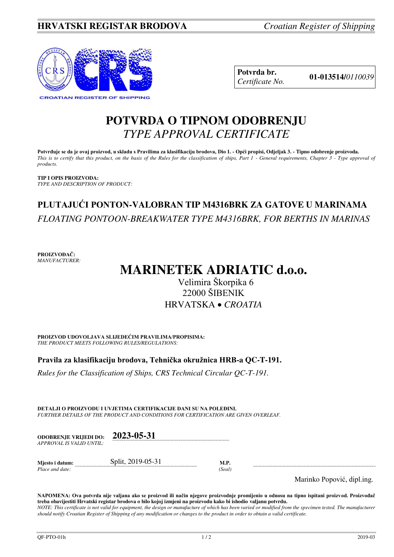

**Potvrda br. 01-013514/***<sup>0110039</sup> Certificate No.* 

# **POTVRDA O TIPNOM ODOBRENJU**  *TYPE APPROVAL CERTIFICATE*

**Potvrđuje se da je ovaj proizvod, u skladu s Pravilima za klasifikaciju brodova, Dio 1. - Opći propisi, Odjeljak 3. - Tipno odobrenje proizvoda.**  *This is to certify that this product, on the basis of the Rules for the classification of ships, Part 1 - General requirements, Chapter 3 - Type approval of products.* 

**TIP I OPIS PROIZVODA:** *TYPE AND DESCRIPTION OF PRODUCT:* 

# **PLUTAJUĆI PONTON-VALOBRAN TIP M4316BRK ZA GATOVE U MARINAMA**  *FLOATING PONTOON-BREAKWATER TYPE M4316BRK, FOR BERTHS IN MARINAS*

**PROIZVOĐAČ:** *MANUFACTURER:*

# **MARINETEK ADRIATIC d.o.o.**

Velimira Škorpika 6 22000 ŠIBENIK HRVATSKA *CROATIA*

**PROIZVOD UDOVOLJAVA SLIJEDEĆIM PRAVILIMA/PROPISIMA:** *THE PRODUCT MEETS FOLLOWING RULES/REGULATIONS:* 

**Pravila za klasifikaciju brodova, Tehnička okružnica HRB-a QC-T-191.** 

*Rules for the Classification of Ships, CRS Technical Circular QC-T-191.*

**DETALJI O PROIZVODU I UVJETIMA CERTIFIKACIJE DANI SU NA POLEĐINI.** *FURTHER DETAILS OF THE PRODUCT AND CONDITIONS FOR CERTIFICATION ARE GIVEN OVERLEAF.* 

| <b>ODOBRENJE VRLIEDI DO:</b> | 2023-05-31 |
|------------------------------|------------|
| APPROVAL IS VALID UNTIL:     |            |
|                              |            |

**Mjesto i datum:** Split, 2019-05-31 **M.P.**  *Place and date: (Seal)* 

Marinko Popović, dipl.ing.

**NAPOMENA: Ova potvrda nije valjana ako se proizvod ili način njegove proizvodnje promijenio u odnosu na tipno ispitani proizvod. Proizvođač treba obavijestiti Hrvatski registar brodova o bilo kojoj izmjeni na proizvodu kako bi ishodio valjanu potvrdu.**  *NOTE: This certificate is not valid for equipment, the design or manufacture of which has been varied or modified from the specimen tested. The manufacturer should notify Croatian Register of Shipping of any modification or changes to the product in order to obtain a valid certificate.*